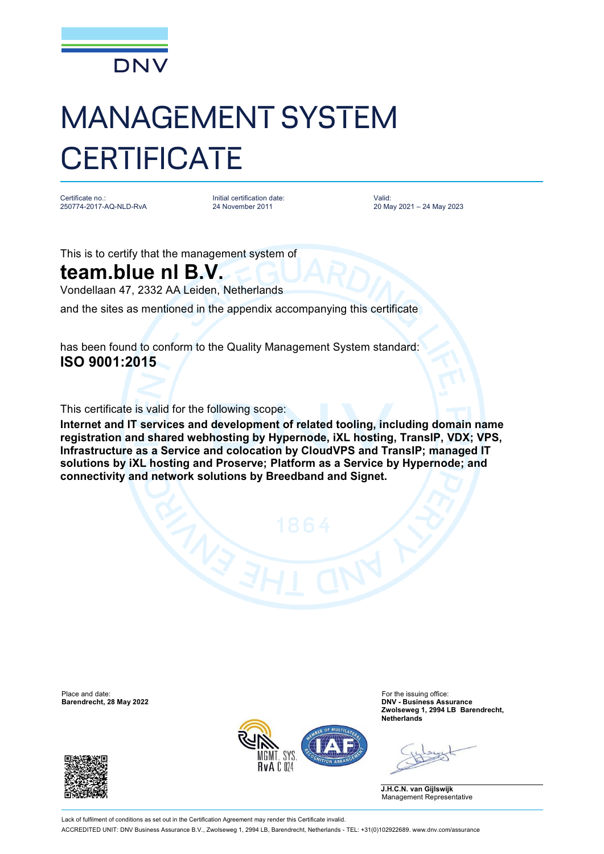

## MANAGEMENT SYSTEM **CERTIFICATE**

Certificate no.: 250774-2017-AQ-NLD-RvA

Initial certification date: 24 November 2011

Valid: 20 May 2021 – 24 May 2023

This is to certify that the management system of

## **team.blue nl B.V.**

Vondellaan 47, 2332 AA Leiden, Netherlands

and the sites as mentioned in the appendix accompanying this certificate

has been found to conform to the Quality Management System standard: **ISO 9001:2015**

This certificate is valid for the following scope:

**Internet and IT services and development of related tooling, including domain name registration and shared webhosting by Hypernode, iXL hosting, TransIP, VDX; VPS, Infrastructure as a Service and colocation by CloudVPS and TransIP; managed IT solutions by iXL hosting and Proserve; Platform as a Service by Hypernode; and connectivity and network solutions by Breedband and Signet.**

Place and date: For the issuing office:<br> **Barendrecht, 28 May 2022 Example 2008 Example 2009 Example 2009 Example 2009 Example 2009 Example 2009 Example 2009 Example 2009 Example 2009 EXAMPLE 2009 EXA** 





**Barendrecht, 28 May 2022 DNV - Business Assurance Zwolseweg 1, 2994 LB Barendrecht, Netherlands**

**J.H.C.N. van Gijlswijk** Management Representative

Lack of fulfilment of conditions as set out in the Certification Agreement may render this Certificate invalid ACCREDITED UNIT: DNV Business Assurance B.V., Zwolseweg 1, 2994 LB, Barendrecht, Netherlands - TEL: +31(0)102922689. [www.dnv.com/assurance](http://www.dnv.com/assurance)